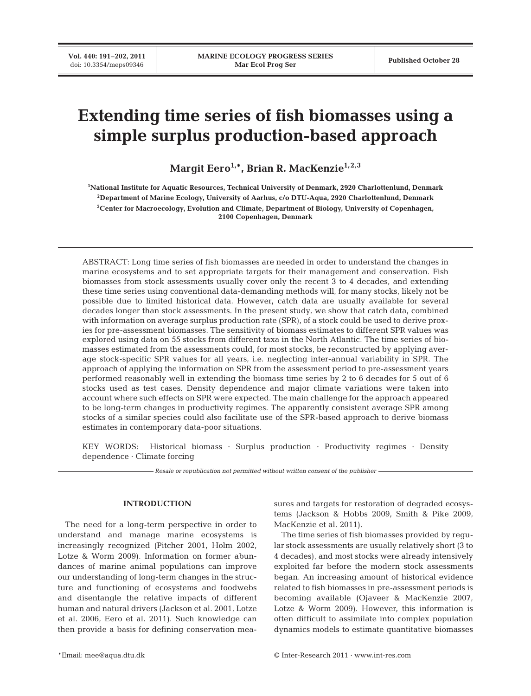# **Extending time series of fish biomasses using a simple surplus production-based approach**

Margit Eero<sup>1,\*</sup>, Brian R. MacKenzie<sup>1,2,3</sup>

**1 National Institute for Aquatic Resources, Technical University of Denmark, 2920 Charlottenlund, Denmark 2Department of Marine Ecology, University of Aarhus, c/o DTU-Aqua, 2920 Charlottenlund, Denmark 3 Center for Macroecology, Evolution and Climate, Department of Biology, University of Copenhagen, 2100 Copenhagen, Denmark**

ABSTRACT: Long time series of fish biomasses are needed in order to understand the changes in marine ecosystems and to set appropriate targets for their management and conservation. Fish biomasses from stock assessments usually cover only the recent 3 to 4 decades, and extending these time series using conventional data-demanding methods will, for many stocks, likely not be possible due to limited historical data. However, catch data are usually available for several decades longer than stock assessments. In the present study, we show that catch data, combined with information on average surplus production rate (SPR), of a stock could be used to derive proxies for pre-assessment biomasses. The sensitivity of biomass estimates to different SPR values was explored using data on 55 stocks from different taxa in the North Atlantic. The time series of biomasses estimated from the assessments could, for most stocks, be reconstructed by applying average stock-specific SPR values for all years, i.e. neglecting inter-annual variability in SPR. The approach of applying the information on SPR from the assessment period to pre-assessment years performed reasonably well in extending the biomass time series by 2 to 6 decades for 5 out of 6 stocks used as test cases. Density dependence and major climate variations were taken into account where such effects on SPR were expected. The main challenge for the approach appeared to be long-term changes in productivity regimes. The apparently consistent average SPR among stocks of a similar species could also facilitate use of the SPR-based approach to derive biomass estimates in contemporary data-poor situations.

KEY WORDS: Historical biomass · Surplus production · Productivity regimes · Density dependence · Climate forcing

*Resale or republication not permitted without written consent of the publisher*

# **INTRODUCTION**

The need for a long-term perspective in order to understand and manage marine ecosystems is increasingly recognized (Pitcher 2001, Holm 2002, Lotze & Worm 2009). Information on former abundances of marine animal populations can improve our understanding of long-term changes in the structure and functioning of ecosystems and foodwebs and disentangle the relative impacts of different human and natural drivers (Jackson et al. 2001, Lotze et al. 2006, Eero et al. 2011). Such knowledge can then provide a basis for defining conservation mea-

sures and targets for restoration of degraded ecosystems (Jackson & Hobbs 2009, Smith & Pike 2009, MacKenzie et al. 2011).

The time series of fish biomasses provided by regular stock assessments are usually relatively short (3 to 4 decades), and most stocks were already intensively exploited far before the modern stock assessments began. An increasing amount of historical evidence related to fish biomasses in pre-assessment periods is becoming available (Ojaveer & MacKenzie 2007, Lotze & Worm 2009). However, this information is often difficult to assimilate into complex population dynamics models to estimate quantitative biomasses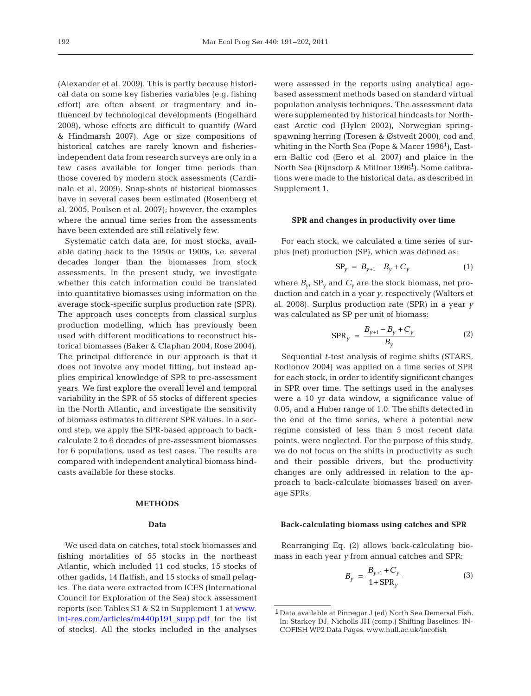(Alexander et al. 2009). This is partly because historical data on some key fisheries variables (e.g. fishing effort) are often absent or fragmentary and influenced by technological developments (Engelhard 2008), whose effects are difficult to quantify (Ward & Hindmarsh 2007). Age or size compositions of historical catches are rarely known and fisheriesindependent data from research surveys are only in a few cases available for longer time periods than those covered by modern stock assessments (Cardinale et al. 2009). Snap-shots of historical biomasses have in several cases been estimated (Rosenberg et al. 2005, Poulsen et al. 2007); however, the examples where the annual time series from the assessments have been extended are still relatively few.

Systematic catch data are, for most stocks, available dating back to the 1950s or 1900s, i.e. several decades longer than the biomasses from stock assessments. In the present study, we investigate whether this catch information could be translated into quantitative biomasses using information on the average stock-specific surplus production rate (SPR). The approach uses concepts from classical surplus production modelling, which has previously been used with different modifications to reconstruct historical biomasses (Baker & Claphan 2004, Rose 2004). The principal difference in our approach is that it does not involve any model fitting, but instead applies empirical knowledge of SPR to pre-assessment years. We first explore the overall level and temporal variability in the SPR of 55 stocks of different species in the North Atlantic, and investigate the sensitivity of biomass estimates to different SPR values. In a second step, we apply the SPR-based approach to back calculate 2 to 6 decades of pre-assessment biomasses for 6 populations, used as test cases. The results are compared with independent analytical biomass hindcasts available for these stocks.

## **METHODS**

#### **Data**

We used data on catches, total stock biomasses and fishing mortalities of 55 stocks in the northeast Atlantic, which included 11 cod stocks, 15 stocks of other gadids, 14 flatfish, and 15 stocks of small pelagics. The data were extracted from ICES (International Council for Exploration of the Sea) stock assessment reports (see Tables S1 & S2 in Supplement 1 at [www.](http://www.int-res.com/articles/suppl/m440p191_supp.pdf) [int-res.com/articles/m440p191\\_supp.pdf](http://www.int-res.com/articles/suppl/m440p191_supp.pdf) for the list of stocks). All the stocks included in the analyses

were assessed in the reports using analytical agebased assessment methods based on standard virtual population analysis techniques. The assessment data were supplemented by historical hindcasts for Northeast Arctic cod (Hylen 2002), Norwegian springspawning herring (Toresen & Østvedt 2000), cod and whiting in the North Sea (Pope & Macer 1996**<sup>1</sup>** ), Eastern Baltic cod (Eero et al. 2007) and plaice in the North Sea (Rijnsdorp & Millner 1996**<sup>1</sup>** ). Some calibrations were made to the historical data, as described in Supplement 1.

## **SPR and changes in productivity over time**

For each stock, we calculated a time series of surplus (net) production (SP), which was defined as:

$$
SP_{y} = B_{y+1} - B_{y} + C_{y}
$$
 (1)

where  $B_y$ ,  $SP_y$  and  $C_y$  are the stock biomass, net production and catch in a year *y*, respectively (Walters et al. 2008). Surplus production rate (SPR) in a year *y* was calculated as SP per unit of biomass:

$$
SPR_{y} = \frac{B_{y+1} - B_{y} + C_{y}}{B_{y}}
$$
 (2)

Sequential *t*-test analysis of regime shifts (STARS, Rodionov 2004) was applied on a time series of SPR for each stock, in order to identify significant changes in SPR over time. The settings used in the analyses were a 10 yr data window, a significance value of 0.05, and a Huber range of 1.0. The shifts detected in the end of the time series, where a potential new regime consisted of less than 5 most recent data points, were neglected. For the purpose of this study, we do not focus on the shifts in productivity as such and their possible drivers, but the productivity changes are only addressed in relation to the approach to back-calculate biomasses based on average SPRs.

#### **Back-calculating biomass using catches and SPR**

Rearranging Eq. (2) allows back-calculating biomass in each year *y* from annual catches and SPR:

$$
B_{y} = \frac{B_{y+1} + C_{y}}{1 + \text{SPR}_{y}}
$$
(3)

**<sup>1</sup>** Data available at Pinnegar J (ed) North Sea Demersal Fish. In: Starkey DJ, Nicholls JH (comp.) Shifting Baselines: IN-COFISH WP2 Data Pages. www.hull.ac.uk/incofish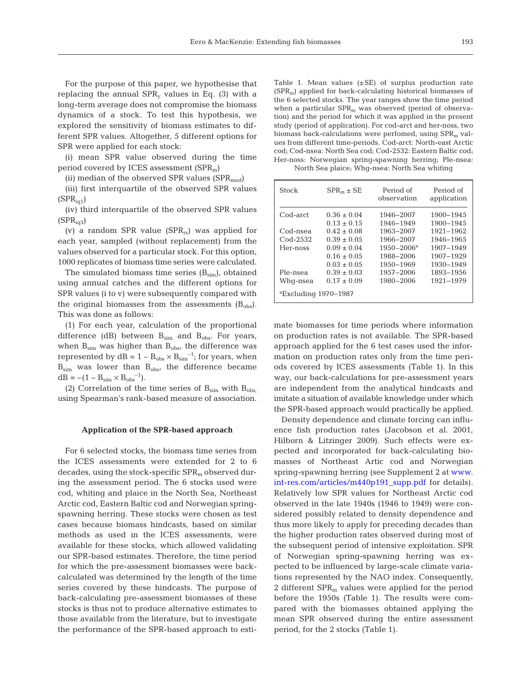For the purpose of this paper, we hypothesise that replacing the annual SPR*<sup>y</sup>* values in Eq. (3) with a long-term average does not compromise the biomass dynamics of a stock. To test this hypothesis, we explored the sensitivity of biomass estimates to different SPR values. Altogether, 5 different options for SPR were applied for each stock:

(i) mean SPR value observed during the time period covered by ICES assessment (SPRm)

(ii) median of the observed SPR values  $(SPR_{med})$ 

(iii) first interquartile of the observed SPR values  $(SPR_{i01})$ 

(iv) third interquartile of the observed SPR values  $(SPR<sub>i\alpha3</sub>)$ 

(v) a random SPR value  $(SPR_{rs})$  was applied for each year, sampled (without replacement) from the values observed for a particular stock. For this option, 1000 replicates of biomass time series were calculated.

The simulated biomass time series  $(B_{sim})$ , obtained using annual catches and the different options for SPR values (i to v) were subsequently compared with the original biomasses from the assessments  $(B_{obs})$ . This was done as follows:

(1) For each year, calculation of the proportional difference (dB) between  $B_{sim}$  and  $B_{obs}$ . For years, when  $B_{sim}$  was higher than  $B_{obs}$ , the difference was represented by  $dB = 1 - B_{obs} \times B_{sim}^{-1}$ ; for years, when  $B_{sim}$  was lower than  $B_{obs}$ , the difference became  $dB = -(1 - B_{\text{sim}} \times B_{\text{obs}}^{-1}).$ 

(2) Correlation of the time series of  $B_{sim}$  with  $B_{obs}$ , using Spearman's rank-based measure of association.

#### **Application of the SPR-based approach**

For 6 selected stocks, the biomass time series from the ICES assessments were extended for 2 to 6 decades, using the stock-specific  $SPR<sub>m</sub>$  observed during the assessment period. The 6 stocks used were cod, whiting and plaice in the North Sea, Northeast Arctic cod, Eastern Baltic cod and Norwegian springspawning herring. These stocks were chosen as test cases because biomass hindcasts, based on similar methods as used in the ICES assessments, were available for these stocks, which allowed validating our SPR-based estimates. Therefore, the time period for which the pre-assessment biomasses were backcalculated was determined by the length of the time series covered by these hindcasts. The purpose of back-calculating pre-assessment biomasses of these stocks is thus not to produce alternative estimates to those available from the literature, but to investigate the performance of the SPR-based approach to esti-

Table 1. Mean values  $(\pm SE)$  of surplus production rate  $(SPR<sub>m</sub>)$  applied for back-calculating historical biomasses of the 6 selected stocks. The year ranges show the time period when a particular  $SPR<sub>m</sub>$  was observed (period of observation) and the period for which it was applied in the present study (period of application). For cod-arct and her-noss, two biomass back-calculations were perfomed, using  $SPR<sub>m</sub>$  values from different time-periods. Cod-arct: North-east Arctic cod; Cod-nsea: North Sea cod; Cod-2532: Eastern Baltic cod; Her-noss: Norwegian spring-spawning herring; Ple-nsea: North Sea plaice; Whg-nsea: North Sea whiting

| <b>Stock</b>                   | $SPR_m \pm SE$  | Period of<br>observation | Period of<br>application |
|--------------------------------|-----------------|--------------------------|--------------------------|
| Cod-arct                       | $0.36 + 0.04$   | 1946-2007                | 1900-1945                |
|                                | $0.13 \pm 0.15$ | 1946-1949                | 1900-1945                |
| Cod-nsea                       | $0.42 \pm 0.08$ | 1963-2007                | 1921-1962                |
| $Cod - 2532$                   | $0.39 + 0.05$   | 1966-2007                | 1946-1965                |
| Her-noss                       | $0.09 + 0.04$   | $1950 - 2006^a$          | 1907-1949                |
|                                | $0.16 \pm 0.05$ | 1988-2006                | 1907-1929                |
|                                | $0.03 + 0.05$   | 1950-1969                | 1930-1949                |
| Ple-nsea                       | $0.39 \pm 0.03$ | 1957-2006                | 1893-1956                |
| Whq-nsea                       | $0.17 + 0.09$   | 1980–2006                | 1921-1979                |
| $^{\circ}$ Excluding 1970–1987 |                 |                          |                          |

mate biomasses for time periods where information on production rates is not available. The SPR-based approach applied for the 6 test cases used the information on production rates only from the time periods covered by ICES assessments (Table 1). In this way, our back-calculations for pre-assessment years are independent from the analytical hindcasts and imitate a situation of available knowledge under which the SPR-based approach would practically be applied.

Density dependence and climate forcing can influence fish production rates (Jacobson et al. 2001, Hilborn & Litzinger 2009). Such effects were expected and incorporated for back-calculating biomasses of Northeast Artic cod and Norwegian spring-spawning herring (see Supplement 2 a[t www.](http://www.int-res.com/articles/suppl/m440p191_supp.pdf) [int-res.com/articles/m440p191\\_supp.pdf](http://www.int-res.com/articles/suppl/m440p191_supp.pdf) for details). Relatively low SPR values for Northeast Arctic cod observed in the late 1940s (1946 to 1949) were considered possibly related to density dependence and thus more likely to apply for preceding decades than the higher production rates observed during most of the subsequent period of intensive exploitation. SPR of Norwegian spring-spawning herring was expected to be influenced by large-scale climate variations represented by the NAO index. Consequently, 2 different  $SPR<sub>m</sub>$  values were applied for the period before the 1950s (Table 1). The results were compared with the biomasses obtained applying the mean SPR observed during the entire assessment period, for the 2 stocks (Table 1).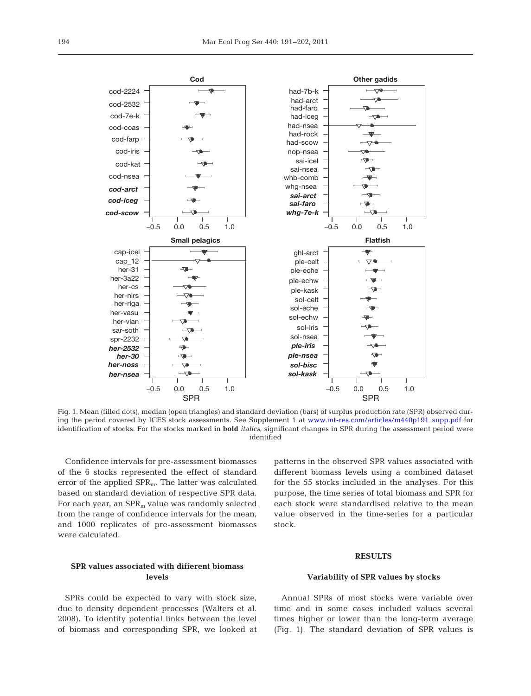

Fig. 1. Mean (filled dots), median (open triangles) and standard deviation (bars) of surplus production rate (SPR) observed during the period covered by ICES stock assessments. See Supplement 1 at www.int-res.com/articles/m440p191\_supp.pdf for identification of stocks. For the stocks marked in **bold** *italics*, significant changes in SPR during the assessment period were identified

Confidence intervals for pre-assessment biomasses of the 6 stocks represented the effect of standard error of the applied SPRm. The latter was calculated based on standard deviation of respective SPR data. For each year, an  $SPR<sub>m</sub>$  value was randomly selected from the range of confidence intervals for the mean, and 1000 replicates of pre-assessment biomasses were calculated.

**SPR values associated with different biomass levels**

SPRs could be expected to vary with stock size, due to density dependent processes (Walters et al. 2008). To identify potential links between the level of biomass and corresponding SPR, we looked at patterns in the observed SPR values associated with different biomass levels using a combined dataset for the 55 stocks included in the analyses. For this purpose, the time series of total biomass and SPR for each stock were standardised relative to the mean value observed in the time-series for a particular stock.

# **RESULTS**

## **Variability of SPR values by stocks**

Annual SPRs of most stocks were variable over time and in some cases included values several times higher or lower than the long-term average (Fig. 1). The standard deviation of SPR values is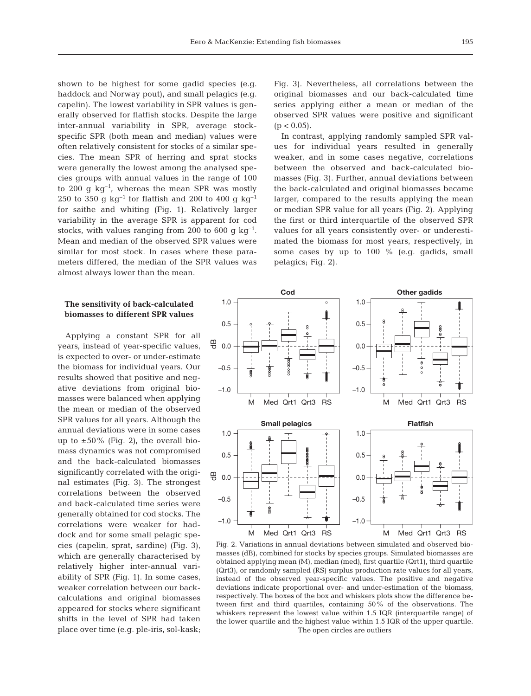shown to be highest for some gadid species (e.g. haddock and Norway pout), and small pelagics (e.g. capelin). The lowest variability in SPR values is generally observed for flatfish stocks. Despite the large inter-annual variability in SPR, average stock specific SPR (both mean and median) values were often relatively consistent for stocks of a similar species. The mean SPR of herring and sprat stocks were generally the lowest among the analysed species groups with annual values in the range of 100 to 200 g  $kg^{-1}$ , whereas the mean SPR was mostly 250 to 350 g  $kg^{-1}$  for flatfish and 200 to 400 g  $kg^{-1}$ for saithe and whiting (Fig. 1). Relatively larger variability in the average SPR is apparent for cod stocks, with values ranging from 200 to 600 g  $kg^{-1}$ . Mean and median of the observed SPR values were similar for most stock. In cases where these parameters differed, the median of the SPR values was almost always lower than the mean.

Fig. 3). Nevertheless, all correlations between the original biomasses and our back-calculated time series applying either a mean or median of the observed SPR values were positive and significant  $(p < 0.05)$ .

In contrast, applying randomly sampled SPR values for individual years resulted in generally weaker, and in some cases negative, correlations between the observed and back-calculated biomasses (Fig. 3). Further, annual deviations between the back-calculated and original biomasses became larger, compared to the results applying the mean or median SPR value for all years (Fig. 2). Applying the first or third interquartile of the observed SPR values for all years consistently over- or underestimated the biomass for most years, respectively, in some cases by up to 100 % (e.g. gadids, small pelagics; Fig. 2).

## **The sensitivity of back-calculated biomasses to different SPR values**

Applying a constant SPR for all years, instead of year-specific values, is expected to over- or under -estimate the biomass for individual years. Our results showed that positive and negative deviations from original biomasses were balanced when applying the mean or median of the observed SPR values for all years. Although the annual deviations were in some cases up to  $\pm 50\%$  (Fig. 2), the overall biomass dynamics was not compromised and the back-calculated biomasses significantly correlated with the original estimates (Fig. 3). The strongest correlations between the observed and back-calculated time series were generally obtained for cod stocks. The correlations were weaker for haddock and for some small pelagic species (capelin, sprat, sardine) (Fig. 3), which are generally characterised by relatively higher inter-annual variability of SPR (Fig. 1). In some cases, weaker correlation between our backcalculations and original biomasses appeared for stocks where significant shifts in the level of SPR had taken place over time (e.g. ple-iris, sol-kask;



Fig. 2. Variations in annual deviations between simulated and observed biomasses (dB), combined for stocks by species groups. Simulated biomasses are obtained applying mean (M), median (med), first quartile (Qrt1), third quartile (Qrt3), or randomly sampled (RS) surplus production rate values for all years, instead of the observed year-specific values. The positive and negative deviations indicate proportional over- and under-estimation of the biomass, respectively. The boxes of the box and whiskers plots show the difference between first and third quartiles, containing 50% of the observations. The whiskers represent the lowest value within 1.5 IQR (interquartile range) of the lower quartile and the highest value within 1.5 IQR of the upper quartile. The open circles are outliers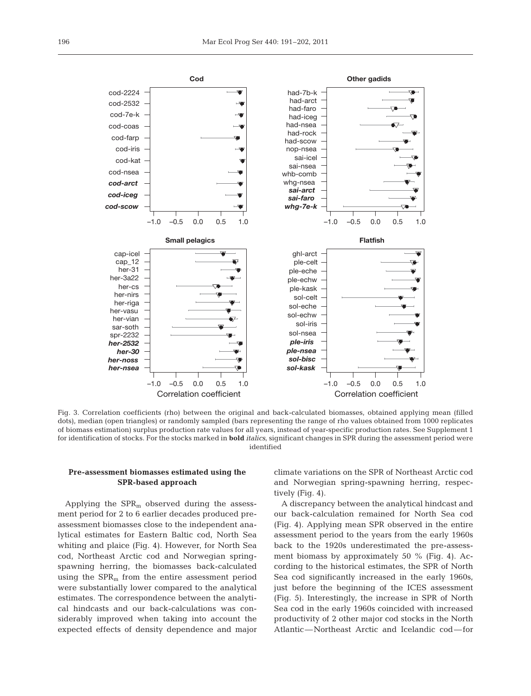

Fig. 3. Correlation coefficients (rho) between the original and back-calculated biomasses, obtained applying mean (filled dots), median (open triangles) or randomly sampled (bars representing the range of rho values obtained from 1000 replicates of biomass estimation) surplus production rate values for all years, instead of year-specific production rates. See Supplement 1 for identification of stocks. For the stocks marked in **bold** *italics*, significant changes in SPR during the assessment period were identified

## **Pre-assessment biomasses estimated using the SPR-based approach**

Applying the  $SPR<sub>m</sub>$  observed during the assessment period for 2 to 6 earlier decades produced preassessment biomasses close to the independent analytical estimates for Eastern Baltic cod, North Sea whiting and plaice (Fig. 4). However, for North Sea cod, Northeast Arctic cod and Norwegian springspawning herring, the biomasses back-calculated using the  $SPR<sub>m</sub>$  from the entire assessment period were substantially lower compared to the analytical estimates. The correspondence between the analytical hindcasts and our back-calculations was considerably improved when taking into account the expected effects of density dependence and major climate variations on the SPR of Northeast Arctic cod and Norwegian spring-spawning herring, respectively (Fig. 4).

A discrepancy between the analytical hindcast and our back-calculation remained for North Sea cod (Fig. 4). Applying mean SPR observed in the entire assessment period to the years from the early 1960s back to the 1920s underestimated the pre-assessment biomass by approximately 50  $%$  (Fig. 4). According to the historical estimates, the SPR of North Sea cod significantly increased in the early 1960s, just before the beginning of the ICES assessment (Fig. 5). Interestingly, the increase in SPR of North Sea cod in the early 1960s coincided with increased productivity of 2 other major cod stocks in the North Atlantic—Northeast Arctic and Icelandic cod—for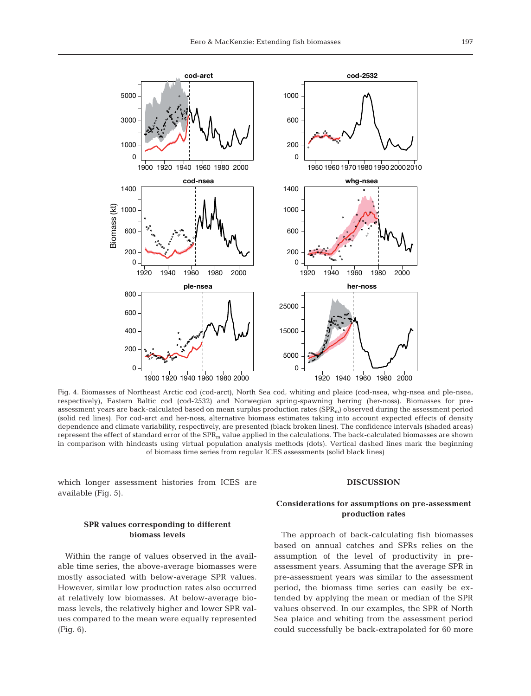

Fig. 4. Biomasses of Northeast Arctic cod (cod-arct), North Sea cod, whiting and plaice (cod-nsea, whg-nsea and ple-nsea, respectively), Eastern Baltic cod (cod-2532) and Norwegian spring-spawning herring (her-noss). Biomasses for preassessment years are back-calculated based on mean surplus production rates  $(SPR_m)$  observed during the assessment period (solid red lines). For cod-arct and her-noss, alternative biomass estimates taking into account expected effects of density dependence and climate variability, respectively, are presented (black broken lines). The confidence intervals (shaded areas) represent the effect of standard error of the  $SPR<sub>m</sub>$  value applied in the calculations. The back-calculated biomasses are shown in comparison with hindcasts using virtual population analysis methods (dots). Vertical dashed lines mark the beginning of biomass time series from regular ICES assessments (solid black lines)

which longer assessment histories from ICES are available (Fig. 5).

# **SPR values corresponding to different biomass levels**

Within the range of values observed in the available time series, the above-average biomasses were mostly associated with below-average SPR values. However, similar low production rates also occurred at relatively low biomasses. At below-average biomass levels, the relatively higher and lower SPR values compared to the mean were equally represented (Fig. 6).

#### **DISCUSSION**

# **Considerations for assumptions on pre-assessment production rates**

The approach of back-calculating fish biomasses based on annual catches and SPRs relies on the assumption of the level of productivity in preassessment years. Assuming that the average SPR in pre-assessment years was similar to the assessment period, the biomass time series can easily be extended by applying the mean or median of the SPR values observed. In our examples, the SPR of North Sea plaice and whiting from the assessment period could successfully be back-extrapolated for 60 more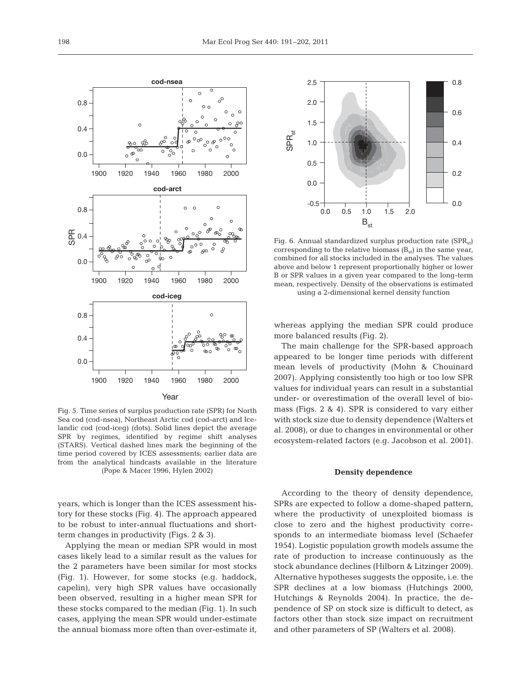Fig. 6. Annual standardized surplus production rate  $(SPR_{st})$ corresponding to the relative biomass  $(B_{st})$  in the same year, combined for all stocks included in the analyses. The values above and below 1 represent proportionally higher or lower B or SPR values in a given year compared to the long-term mean, respectively. Density of the observations is estimated using a 2-dimensional kernel density function

0.0 0.5 1.0 1.5 2.0

 $\mathsf{B}_{\mathsf{st}}$ 

-0.5

0.0

0.5

1.0

SPR<sub>st</sub>

1.5

2.0

2.5

0.0

0.2

0.4

0.6

0.8

whereas applying the median SPR could produce more balanced results (Fig. 2).

The main challenge for the SPR-based approach appeared to be longer time periods with different mean levels of productivity (Mohn & Chouinard 2007). Applying consistently too high or too low SPR values for individual years can result in a substantial under- or overestimation of the overall level of biomass (Figs. 2 & 4). SPR is considered to vary either with stock size due to density dependence (Walters et al. 2008), or due to changes in environmental or other ecosystem-related factors (e.g. Jacobson et al. 2001).

#### **Density dependence**

According to the theory of density dependence, SPRs are expected to follow a dome-shaped pattern, where the productivity of unexploited biomass is close to zero and the highest productivity corresponds to an intermediate biomass level (Schaefer 1954). Logistic population growth models assume the rate of production to increase continuously as the stock abundance declines (Hilborn & Litzinger 2009). Alternative hypotheses suggests the opposite, i.e. the SPR declines at a low biomass (Hutchings 2000, Hutchings & Reynolds 2004). In practice, the dependence of SP on stock size is difficult to detect, as factors other than stock size impact on recruitment and other parameters of SP (Walters et al. 2008).



years, which is longer than the ICES assessment history for these stocks (Fig. 4). The approach appeared to be robust to inter-annual fluctuations and shortterm changes in productivity (Figs. 2 & 3).

Applying the mean or median SPR would in most cases likely lead to a similar result as the values for the 2 parameters have been similar for most stocks (Fig. 1). However, for some stocks (e.g. haddock, capelin), very high SPR values have occasionally been observed, resulting in a higher mean SPR for these stocks compared to the median (Fig. 1). In such cases, applying the mean SPR would under-estimate the annual biomass more often than over-estimate it,

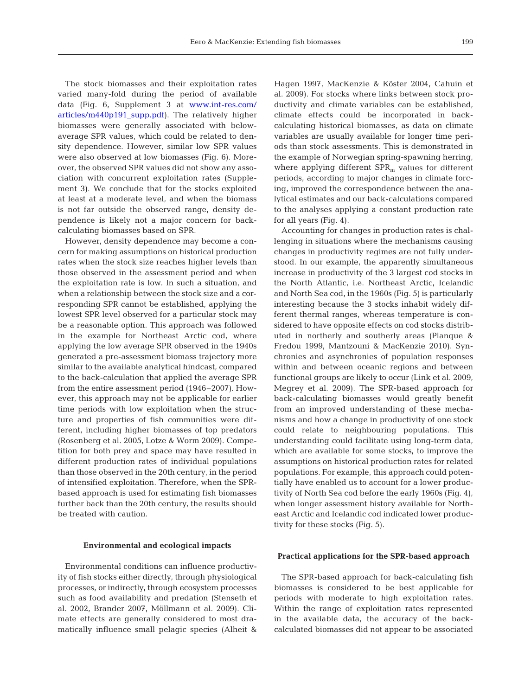The stock biomasses and their exploitation rates varied many-fold during the period of available data (Fig. 6, Supplement 3 at [www.int-res.com/](http://www.int-res.com/articles/suppl/m440p191_supp.pdf) articles/m440p191\_supp.pdf). The relatively higher biomasses were generally associated with belowaverage SPR values, which could be related to density dependence. However, similar low SPR values were also observed at low biomasses (Fig. 6). Moreover, the observed SPR values did not show any association with concurrent exploitation rates (Supplement 3). We conclude that for the stocks exploited at least at a moderate level, and when the biomass is not far outside the observed range, density dependence is likely not a major concern for backcalculating biomasses based on SPR.

However, density dependence may become a concern for making assumptions on historical production rates when the stock size reaches higher levels than those observed in the assessment period and when the exploitation rate is low. In such a situation, and when a relationship between the stock size and a corresponding SPR cannot be established, applying the lowest SPR level observed for a particular stock may be a reasonable option. This approach was followed in the example for Northeast Arctic cod, where applying the low average SPR observed in the 1940s generated a pre-assessment biomass trajectory more similar to the available analytical hindcast, compared to the back-calculation that applied the average SPR from the entire assessment period (1946–2007). How ever, this approach may not be applicable for earlier time periods with low exploitation when the structure and properties of fish communities were dif ferent, including higher biomasses of top predators (Rosenberg et al. 2005, Lotze & Worm 2009). Competition for both prey and space may have resulted in different production rates of individual populations than those observed in the 20th century, in the period of intensified exploitation. Therefore, when the SPRbased approach is used for estimating fish biomasses further back than the 20th century, the results should be treated with caution.

#### **Environmental and ecological impacts**

Environmental conditions can influence productivity of fish stocks either directly, through physiological processes, or indirectly, through ecosystem processes such as food availability and predation (Stenseth et al. 2002, Brander 2007, Möllmann et al. 2009). Climate effects are generally considered to most dramatically influence small pelagic species (Alheit &

Hagen 1997, MacKenzie & Köster 2004, Cahuin et al. 2009). For stocks where links between stock productivity and climate variables can be established, climate effects could be incorporated in back calculating historical biomasses, as data on climate variables are usually available for longer time periods than stock assessments. This is demonstrated in the example of Norwegian spring-spawning herring, where applying different  $SPR<sub>m</sub>$  values for different periods, according to major changes in climate forcing, improved the correspondence between the analytical estimates and our back-calculations compared to the analyses applying a constant production rate for all years (Fig. 4).

Accounting for changes in production rates is challenging in situations where the mechanisms causing changes in productivity regimes are not fully understood. In our example, the apparently simultaneous increase in productivity of the 3 largest cod stocks in the North Atlantic, i.e. Northeast Arctic, Icelandic and North Sea cod, in the 1960s (Fig. 5) is particularly interesting because the 3 stocks inhabit widely different thermal ranges, whereas temperature is considered to have opposite effects on cod stocks distributed in northerly and southerly areas (Planque & Fredou 1999, Mantzouni & MacKenzie 2010). Synchronies and asynchronies of population responses within and between oceanic regions and between functional groups are likely to occur (Link et al. 2009, Megrey et al. 2009). The SPR-based approach for back-calculating biomasses would greatly benefit from an improved understanding of these mechanisms and how a change in productivity of one stock could relate to neighbouring populations. This understanding could facilitate using long-term data, which are available for some stocks, to improve the assumptions on historical production rates for related populations. For example, this approach could potentially have enabled us to account for a lower productivity of North Sea cod before the early 1960s (Fig. 4), when longer assessment history available for Northeast Arctic and Icelandic cod indicated lower productivity for these stocks (Fig. 5).

## **Practical applications for the SPR-based approach**

The SPR-based approach for back-calculating fish biomasses is considered to be best applicable for periods with moderate to high exploitation rates. Within the range of exploitation rates represented in the available data, the accuracy of the backcalculated biomasses did not appear to be associated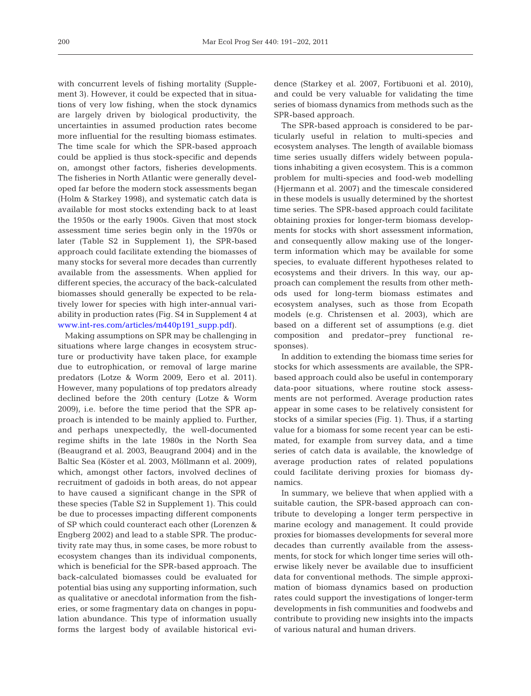with concurrent levels of fishing mortality (Supplement 3). However, it could be expected that in situations of very low fishing, when the stock dynamics are largely driven by biological productivity, the uncertainties in assumed production rates become more influential for the resulting biomass estimates. The time scale for which the SPR-based approach could be applied is thus stock-specific and depends on, amongst other factors, fisheries developments. The fisheries in North Atlantic were generally developed far before the modern stock assessments began (Holm & Starkey 1998), and systematic catch data is available for most stocks extending back to at least the 1950s or the early 1900s. Given that most stock assessment time series begin only in the 1970s or later (Table S2 in Supplement 1), the SPR-based approach could facilitate extending the biomasses of many stocks for several more decades than currently available from the assessments. When applied for different species, the accuracy of the back-calculated biomasses should generally be expected to be relatively lower for species with high inter-annual variability in production rates (Fig. S4 in Supplement 4 at [www.int-res. com/ articles/m440p191\\_supp.pdf\)](http://www.int-res.com/articles/suppl/m440p191_supp.pdf).

Making assumptions on SPR may be challenging in situations where large changes in ecosystem structure or productivity have taken place, for example due to eutrophication, or removal of large marine predators (Lotze & Worm 2009, Eero et al. 2011). However, many populations of top predators already declined before the 20th century (Lotze & Worm 2009), i.e. before the time period that the SPR approach is intended to be mainly applied to. Further, and perhaps unexpectedly, the well-documented regime shifts in the late 1980s in the North Sea (Beaugrand et al. 2003, Beaugrand 2004) and in the Baltic Sea (Köster et al. 2003, Möllmann et al. 2009), which, amongst other factors, involved declines of recruitment of gadoids in both areas, do not appear to have caused a significant change in the SPR of these species (Table S2 in Supplement 1). This could be due to processes impacting different components of SP which could counteract each other (Lorenzen & Engberg 2002) and lead to a stable SPR. The productivity rate may thus, in some cases, be more robust to ecosystem changes than its individual components, which is beneficial for the SPR-based approach. The back-calculated biomasses could be evaluated for potential bias using any supporting information, such as qualitative or anecdotal information from the fisheries, or some fragmentary data on changes in population abundance. This type of information usually forms the largest body of available historical evidence (Starkey et al. 2007, Fortibuoni et al. 2010), and could be very valuable for validating the time series of biomass dynamics from methods such as the SPR-based approach.

The SPR-based approach is considered to be particularly useful in relation to multi-species and ecosystem analyses. The length of available biomass time series usually differs widely between populations inhabiting a given ecosystem. This is a common problem for multi-species and food-web modelling (Hjermann et al. 2007) and the timescale considered in these models is usually determined by the shortest time series. The SPR-based approach could facilitate obtaining proxies for longer-term biomass developments for stocks with short assessment information, and consequently allow making use of the longerterm information which may be available for some species, to evaluate different hypotheses related to ecosystems and their drivers. In this way, our approach can complement the results from other methods used for long-term biomass estimates and ecosystem analyses, such as those from Ecopath models (e.g. Christensen et al. 2003), which are based on a different set of assumptions (e.g. diet composition and predator−prey functional re sponses).

In addition to extending the biomass time series for stocks for which assessments are available, the SPRbased approach could also be useful in contemporary data-poor situations, where routine stock assessments are not performed. Average production rates appear in some cases to be relatively consistent for stocks of a similar species (Fig. 1). Thus, if a starting value for a biomass for some recent year can be estimated, for example from survey data, and a time series of catch data is available, the knowledge of average production rates of related populations could facilitate deriving proxies for biomass dy namics.

In summary, we believe that when applied with a suitable caution, the SPR-based approach can contribute to developing a longer term perspective in marine ecology and management. It could provide proxies for biomasses developments for several more decades than currently available from the assessments, for stock for which longer time series will otherwise likely never be available due to insufficient data for conventional methods. The simple approximation of biomass dynamics based on production rates could support the investigations of longer-term developments in fish communities and foodwebs and contribute to providing new insights into the impacts of various natural and human drivers.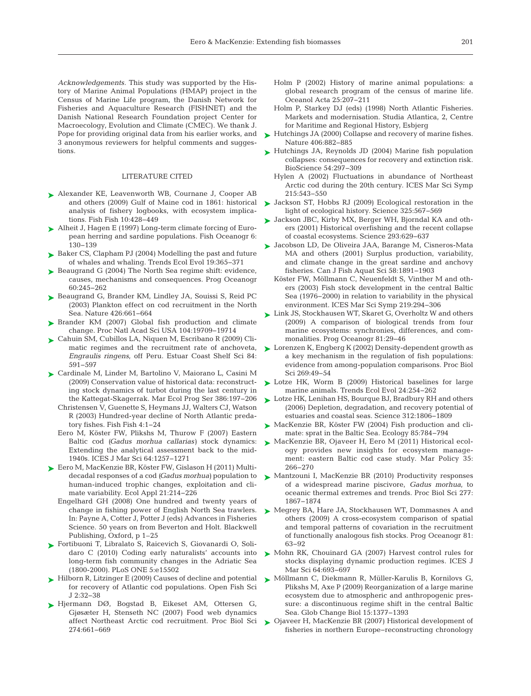*Acknowledgements.* This study was supported by the History of Marine Animal Populations (HMAP) project in the Census of Marine Life program, the Danish Network for Fisheries and Aquaculture Research (FISHNET) and the Danish National Research Foundation project Center for Macroecology, Evolution and Climate (CMEC). We thank J. Pope for providing original data from his earlier works, and 3 anonymous reviewers for helpful comments and suggestions.

## LITERATURE CITED

- ▶ Alexander KE, Leavenworth WB, Cournane J, Cooper AB and others (2009) Gulf of Maine cod in 1861: historical analysis of fishery logbooks, with ecosystem implications. Fish Fish 10: 428−449
- ► Alheit J, Hagen E (1997) Long-term climate forcing of European herring and sardine populations. Fish Oceanogr 6: 130−139
- ► Baker CS, Clapham PJ (2004) Modelling the past and future of whales and whaling. Trends Ecol Evol 19:365-371
- $\blacktriangleright$  Beaugrand G (2004) The North Sea regime shift: evidence, causes, mechanisms and consequences. Prog Oceanogr 60: 245−262
- ▶ Beaugrand G, Brander KM, Lindley JA, Souissi S, Reid PC (2003) Plankton effect on cod recruitment in the North Sea. Nature 426:661-664
- ▶ Brander KM (2007) Global fish production and climate change. Proc Natl Acad Sci USA 104: 19709−19714
- Cahuin SM, Cubillos LA, Niquen M, Escribano R (2009) Cli-➤ matic regimes and the recruitment rate of anchoveta, *Engraulis ringens*, off Peru. Estuar Coast Shelf Sci 84: 591−597
- Cardinale M, Linder M, Bartolino V, Maiorano L, Casini M ➤ (2009) Conservation value of historical data: reconstructing stock dynamics of turbot during the last century in the Kattegat-Skagerrak. Mar Ecol Prog Ser 386: 197−206
	- Christensen V, Guenette S, Heymans JJ, Walters CJ, Watson R (2003) Hundred-year decline of North Atlantic predatory fishes. Fish Fish 4: 1−24
	- Eero M, Köster FW, Plikshs M, Thurow F (2007) Eastern Baltic cod *(Gadus morhua callarias)* stock dynamics: Extending the analytical assessment back to the mid-1940s. ICES J Mar Sci 64: 1257−1271
- Eero M, MacKenzie BR, Köster FW, Gislason H (2011) Multi-➤ decadal responses of a cod *(Gadus morhua)* population to human-induced trophic changes, exploitation and climate variability. Ecol Appl 21:214-226
	- Engelhard GH (2008) One hundred and twenty years of change in fishing power of English North Sea trawlers. In:Payne A, Cotter J, Potter J (eds) Advances in Fisheries Science. 50 years on from Beverton and Holt. Blackwell Publishing, Oxford, p 1–25
- ► Fortibuoni T, Libralato S, Raicevich S, Giovanardi O, Solidaro C (2010) Coding early naturalists' accounts into long-term fish community changes in the Adriatic Sea (1800-2000). PLoS ONE 5: e15502
- ► Hilborn R, Litzinger E (2009) Causes of decline and potential for recovery of Atlantic cod populations. Open Fish Sci J 2: 32−38
- Hjermann DØ, Bogstad B, Eikeset AM, Ottersen G, ➤ Gjøsæter H, Stenseth NC (2007) Food web dynamics affect Northeast Arctic cod recruitment. Proc Biol Sci 274: 661−669
- Holm P (2002) History of marine animal populations: a global research program of the census of marine life. Oceanol Acta 25: 207−211
- Holm P, Starkey DJ (eds) (1998) North Atlantic Fisheries. Markets and modernisation. Studia Atlantica, 2, Centre for Maritime and Regional History, Esbjerg
- ► Hutchings JA (2000) Collapse and recovery of marine fishes. Nature 406:882-885
- ► Hutchings JA, Reynolds JD (2004) Marine fish population collapses: consequences for recovery and extinction risk. BioScience 54:297-309
	- Hylen A (2002) Fluctuations in abundance of Northeast Arctic cod during the 20th century. ICES Mar Sci Symp 215: 543−550
- Jackson ST, Hobbs RJ (2009) Ecological restoration in the ➤ light of ecological history. Science 325:567-569
- ► Jackson JBC, Kirby MX, Berger WH, Bjorndal KA and others (2001) Historical overfishing and the recent collapse of coastal ecosystems. Science 293: 629−637
- Jacobson LD, De Oliveira JAA, Barange M, Cisneros-Mata ➤ MA and others (2001) Surplus production, variability, and climate change in the great sardine and anchovy fisheries. Can J Fish Aquat Sci 58: 1891−1903
	- Köster FW, Möllmann C, Neuenfeldt S, Vinther M and others (2003) Fish stock development in the central Baltic Sea (1976−2000) in relation to variability in the physical environment. ICES Mar Sci Symp 219: 294−306
- Link JS, Stockhausen WT, Skaret G, Overholtz W and others ➤ (2009) A comparison of biological trends from four marine ecosystems: synchronies, differences, and commonalities. Prog Oceanogr 81:29-46
- Lorenzen K, Engberg K (2002) Density-dependent growth as ➤ a key mechanism in the regulation of fish populations: evidence from among-population comparisons. Proc Biol Sci 269:49-54
- ▶ Lotze HK, Worm B (2009) Historical baselines for large marine animals. Trends Ecol Evol 24:254-262
- Lotze HK, Lenihan HS, Bourque BJ, Bradbury RH and others ➤ (2006) Depletion, degradation, and recovery potential of estuaries and coastal seas. Science 312: 1806−1809
- ▶ MacKenzie BR, Köster FW (2004) Fish production and climate: sprat in the Baltic Sea. Ecology 85:784-794
- MacKenzie BR, Ojaveer H, Eero M (2011) Historical ecol-➤ ogy provides new insights for ecosystem management: eastern Baltic cod case study. Mar Policy 35: 266−270
- ► Mantzouni I, MacKenzie BR (2010) Productivity responses of a widespread marine piscivore, *Gadus morhua*, to oceanic thermal extremes and trends. Proc Biol Sci 277: 1867−1874
- ► Megrey BA, Hare JA, Stockhausen WT, Dommasnes A and others (2009) A cross-ecosystem comparison of spatial and temporal patterns of covariation in the recruitment of functionally analogous fish stocks. Prog Oceanogr 81: 63−92
- ▶ Mohn RK, Chouinard GA (2007) Harvest control rules for stocks displaying dynamic production regimes. ICES J Mar Sci 64:693-697
- Möllmann C, Diekmann R, Müller-Karulis B, Kornilovs G, ➤ Plikshs M, Axe P (2009) Reorganization of a large marine ecosystem due to atmospheric and anthropogenic pressure: a discontinuous regime shift in the central Baltic Sea. Glob Change Biol 15: 1377−1393
- ▶ Ojaveer H, MacKenzie BR (2007) Historical development of fisheries in northern Europe−reconstructing chronology